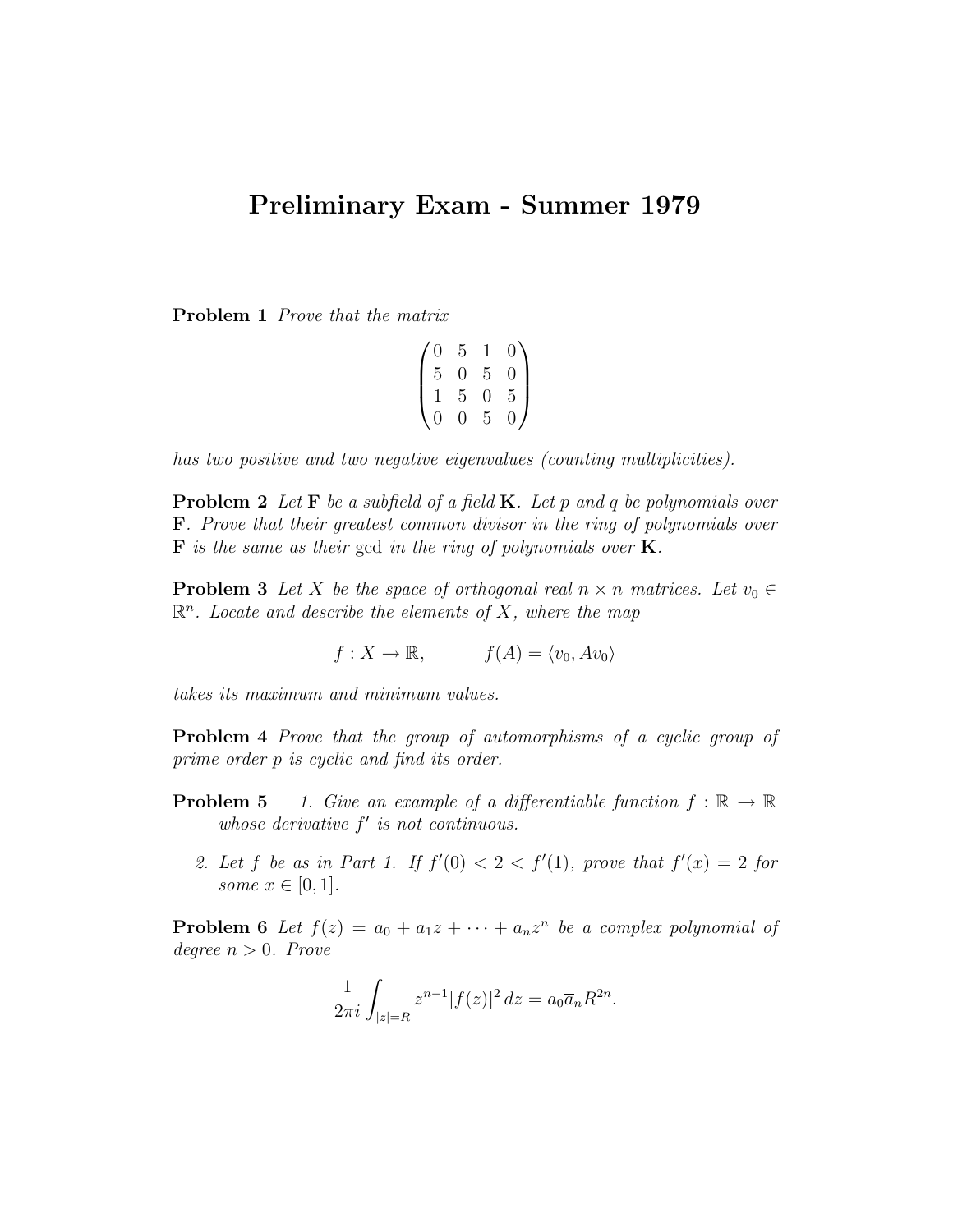## Preliminary Exam - Summer 1979

Problem 1 Prove that the matrix

| $\left( 0 \right)$ | 5     | 1              | $\overline{0}$ |
|--------------------|-------|----------------|----------------|
| $\bf 5$            | 0     | $\overline{5}$ | $\overline{0}$ |
| 1                  | $5\,$ | $\overline{0}$ | $\overline{5}$ |
| $\overline{0}$     | 0     | 5              | $\overline{0}$ |

has two positive and two negative eigenvalues (counting multiplicities).

**Problem 2** Let  $\mathbf{F}$  be a subfield of a field  $\mathbf{K}$ . Let p and q be polynomials over F. Prove that their greatest common divisor in the ring of polynomials over  $\bf{F}$  is the same as their gcd in the ring of polynomials over  $\bf{K}$ .

**Problem 3** Let X be the space of orthogonal real  $n \times n$  matrices. Let  $v_0 \in$  $\mathbb{R}^n$ . Locate and describe the elements of X, where the map

$$
f: X \to \mathbb{R}, \qquad f(A) = \langle v_0, Av_0 \rangle
$$

takes its maximum and minimum values.

Problem 4 Prove that the group of automorphisms of a cyclic group of prime order p is cyclic and find its order.

- **Problem 5** 1. Give an example of a differentiable function  $f : \mathbb{R} \to \mathbb{R}$ whose derivative  $f'$  is not continuous.
	- 2. Let f be as in Part 1. If  $f'(0) < 2 < f'(1)$ , prove that  $f'(x) = 2$  for some  $x \in [0,1]$ .

**Problem 6** Let  $f(z) = a_0 + a_1z + \cdots + a_nz^n$  be a complex polynomial of degree  $n > 0$ . Prove

$$
\frac{1}{2\pi i} \int_{|z|=R} z^{n-1} |f(z)|^2 dz = a_0 \overline{a}_n R^{2n}.
$$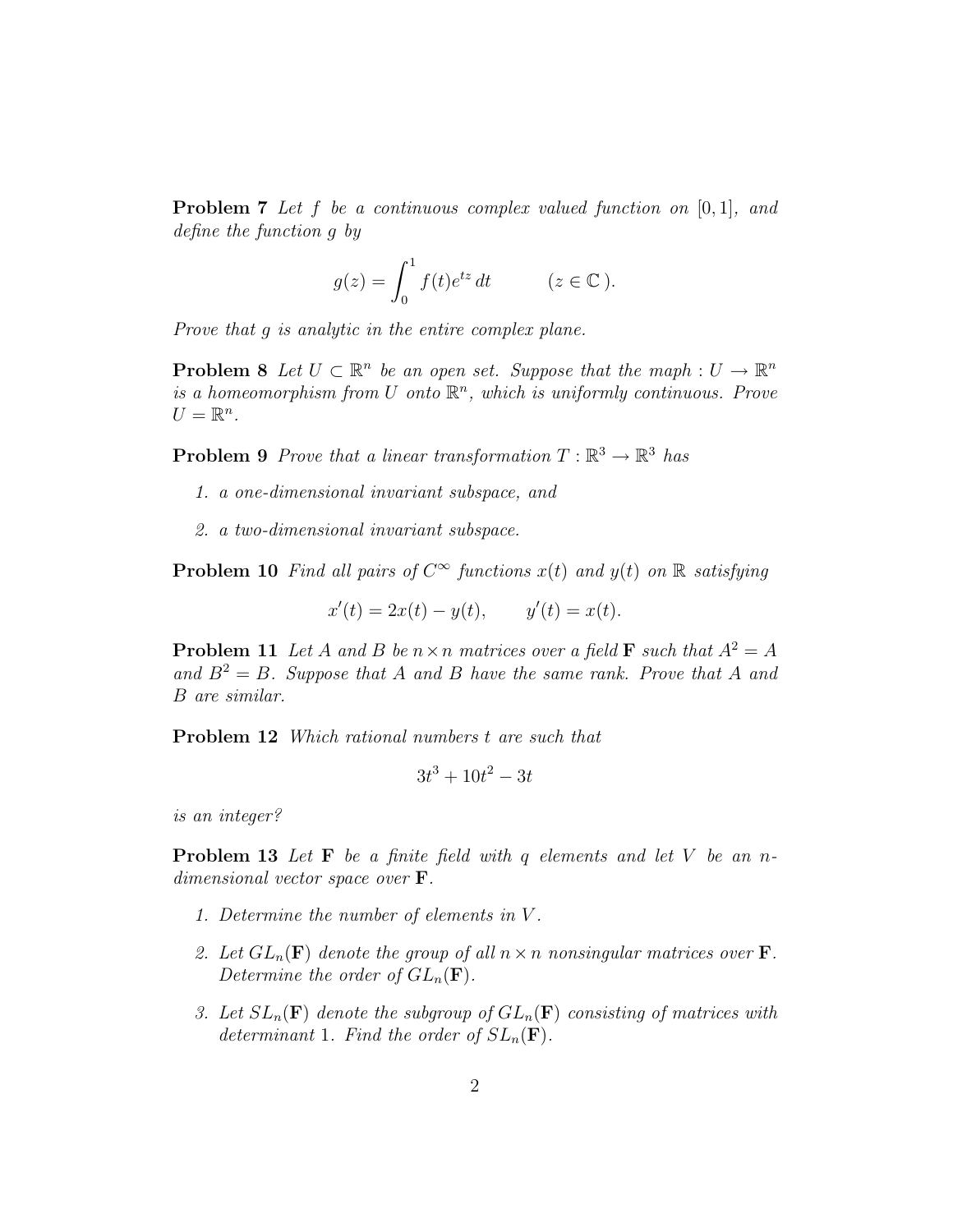**Problem 7** Let f be a continuous complex valued function on  $[0, 1]$ , and define the function g by

$$
g(z) = \int_0^1 f(t)e^{iz} dt \qquad (z \in \mathbb{C}).
$$

Prove that g is analytic in the entire complex plane.

**Problem 8** Let  $U \subset \mathbb{R}^n$  be an open set. Suppose that the maph :  $U \to \mathbb{R}^n$ is a homeomorphism from U onto  $\mathbb{R}^n$ , which is uniformly continuous. Prove  $U=\mathbb{R}^n$ .

**Problem 9** Prove that a linear transformation  $T : \mathbb{R}^3 \to \mathbb{R}^3$  has

- 1. a one-dimensional invariant subspace, and
- 2. a two-dimensional invariant subspace.

**Problem 10** Find all pairs of  $C^{\infty}$  functions  $x(t)$  and  $y(t)$  on  $\mathbb{R}$  satisfying

$$
x'(t) = 2x(t) - y(t), \t y'(t) = x(t).
$$

**Problem 11** Let A and B be  $n \times n$  matrices over a field **F** such that  $A^2 = A$ and  $B^2 = B$ . Suppose that A and B have the same rank. Prove that A and B are similar.

Problem 12 Which rational numbers t are such that

$$
3t^3 + 10t^2 - 3t
$$

is an integer?

**Problem 13** Let  $\mathbf{F}$  be a finite field with q elements and let V be an ndimensional vector space over F.

- 1. Determine the number of elements in V .
- 2. Let  $GL_n(\mathbf{F})$  denote the group of all  $n \times n$  nonsingular matrices over **F**. Determine the order of  $GL_n(\mathbf{F})$ .
- 3. Let  $SL_n(\mathbf{F})$  denote the subgroup of  $GL_n(\mathbf{F})$  consisting of matrices with determinant 1. Find the order of  $SL_n(\mathbf{F})$ .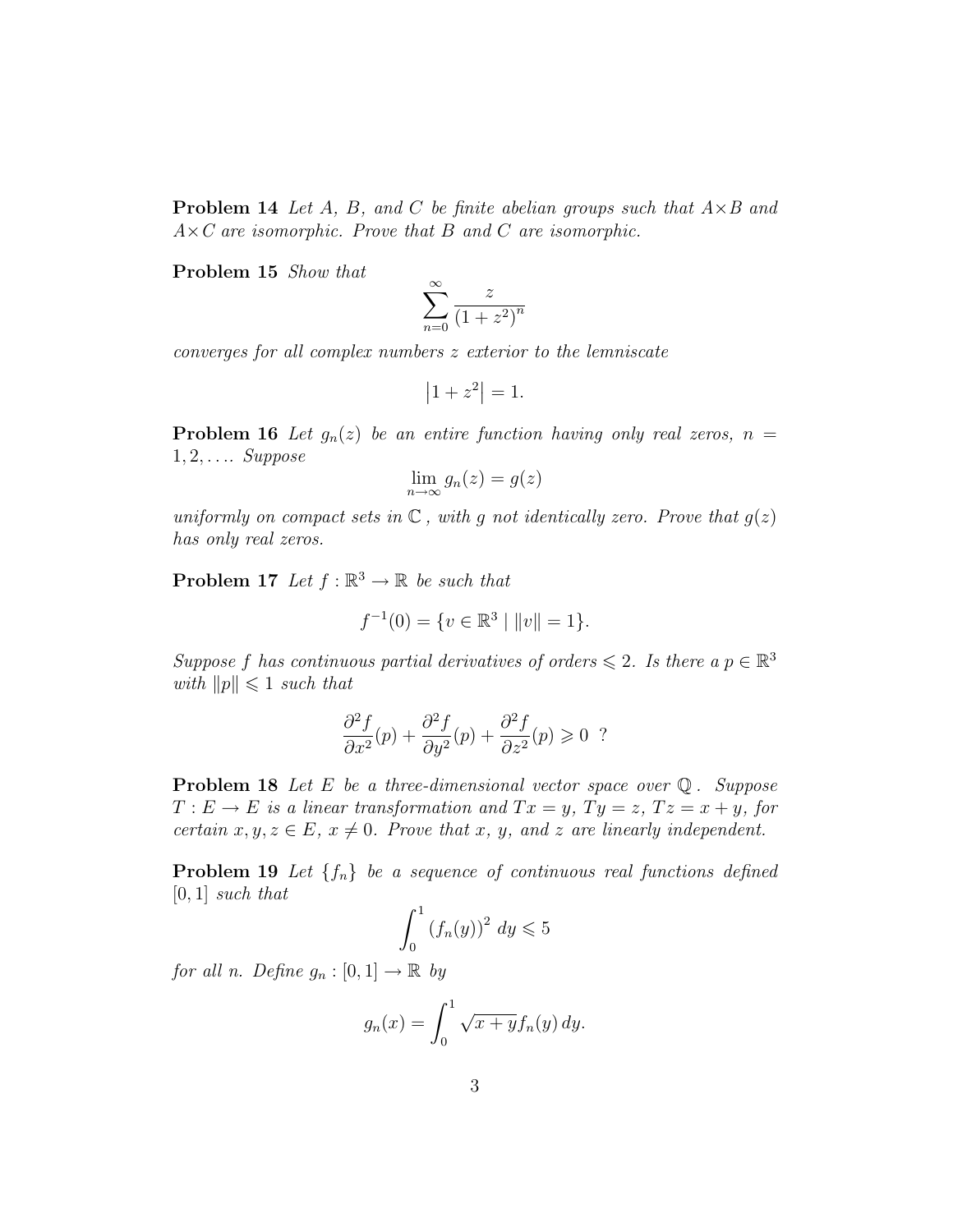**Problem 14** Let A, B, and C be finite abelian groups such that  $A \times B$  and  $A \times C$  are isomorphic. Prove that B and C are isomorphic.

Problem 15 Show that

$$
\sum_{n=0}^{\infty} \frac{z}{\left(1+z^2\right)^n}
$$

converges for all complex numbers z exterior to the lemniscate

$$
\left|1+z^2\right|=1.
$$

**Problem 16** Let  $g_n(z)$  be an entire function having only real zeros,  $n =$  $1, 2, \ldots$  Suppose

$$
\lim_{n \to \infty} g_n(z) = g(z)
$$

uniformly on compact sets in  $\mathbb C$ , with g not identically zero. Prove that  $g(z)$ has only real zeros.

**Problem 17** Let  $f : \mathbb{R}^3 \to \mathbb{R}$  be such that

$$
f^{-1}(0) = \{ v \in \mathbb{R}^3 \mid ||v|| = 1 \}.
$$

Suppose f has continuous partial derivatives of orders  $\leq 2$ . Is there a  $p \in \mathbb{R}^3$ with  $||p|| \leq 1$  such that

$$
\frac{\partial^2 f}{\partial x^2}(p) + \frac{\partial^2 f}{\partial y^2}(p) + \frac{\partial^2 f}{\partial z^2}(p) \geq 0
$$
?

**Problem 18** Let E be a three-dimensional vector space over  $\mathbb{Q}$ . Suppose  $T: E \to E$  is a linear transformation and  $Tx = y$ ,  $Ty = z$ ,  $Tz = x + y$ , for certain  $x, y, z \in E$ ,  $x \neq 0$ . Prove that x, y, and z are linearly independent.

**Problem 19** Let  $\{f_n\}$  be a sequence of continuous real functions defined  $[0, 1]$  such that

$$
\int_0^1 \left(f_n(y)\right)^2 dy \leqslant 5
$$

for all n. Define  $g_n : [0,1] \to \mathbb{R}$  by

$$
g_n(x) = \int_0^1 \sqrt{x+y} f_n(y) \, dy.
$$